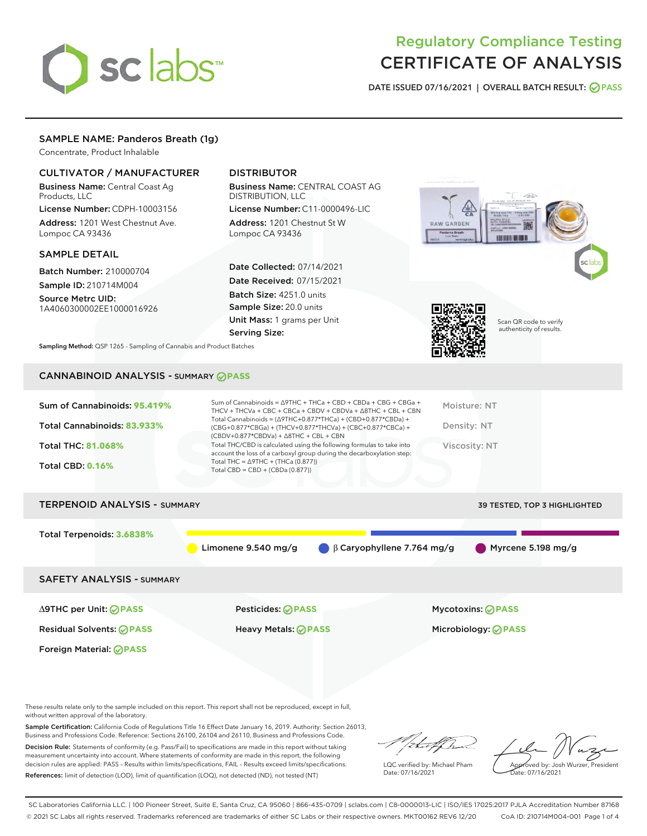# sclabs<sup>\*</sup>

# Regulatory Compliance Testing CERTIFICATE OF ANALYSIS

DATE ISSUED 07/16/2021 | OVERALL BATCH RESULT: @ PASS

# SAMPLE NAME: Panderos Breath (1g)

Concentrate, Product Inhalable

# CULTIVATOR / MANUFACTURER

Business Name: Central Coast Ag Products, LLC

License Number: CDPH-10003156 Address: 1201 West Chestnut Ave. Lompoc CA 93436

# SAMPLE DETAIL

Batch Number: 210000704

Sample ID: 210714M004 Source Metrc UID:

1A4060300002EE1000016926

# DISTRIBUTOR

Business Name: CENTRAL COAST AG DISTRIBUTION, LLC

License Number: C11-0000496-LIC Address: 1201 Chestnut St W Lompoc CA 93436

Date Collected: 07/14/2021 Date Received: 07/15/2021 Batch Size: 4251.0 units Sample Size: 20.0 units Unit Mass: 1 grams per Unit Serving Size:





Scan QR code to verify authenticity of results.

Sampling Method: QSP 1265 - Sampling of Cannabis and Product Batches

# CANNABINOID ANALYSIS - SUMMARY **PASS**

# TERPENOID ANALYSIS - SUMMARY 39 TESTED, TOP 3 HIGHLIGHTED

Total Terpenoids: **3.6838%** Limonene 9.540 mg/g β Caryophyllene 7.764 mg/g Myrcene 5.198 mg/g SAFETY ANALYSIS - SUMMARY ∆9THC per Unit: **PASS** Pesticides: **PASS** Mycotoxins: **PASS** Residual Solvents: **PASS** Heavy Metals: **PASS** Microbiology: **PASS** Foreign Material: **PASS**

These results relate only to the sample included on this report. This report shall not be reproduced, except in full, without written approval of the laboratory.

Sample Certification: California Code of Regulations Title 16 Effect Date January 16, 2019. Authority: Section 26013, Business and Professions Code. Reference: Sections 26100, 26104 and 26110, Business and Professions Code.

Decision Rule: Statements of conformity (e.g. Pass/Fail) to specifications are made in this report without taking measurement uncertainty into account. Where statements of conformity are made in this report, the following decision rules are applied: PASS – Results within limits/specifications, FAIL – Results exceed limits/specifications. References: limit of detection (LOD), limit of quantification (LOQ), not detected (ND), not tested (NT)

that for

LQC verified by: Michael Pham Date: 07/16/2021

Approved by: Josh Wurzer, President ate: 07/16/2021

SC Laboratories California LLC. | 100 Pioneer Street, Suite E, Santa Cruz, CA 95060 | 866-435-0709 | sclabs.com | C8-0000013-LIC | ISO/IES 17025:2017 PJLA Accreditation Number 87168 © 2021 SC Labs all rights reserved. Trademarks referenced are trademarks of either SC Labs or their respective owners. MKT00162 REV6 12/20 CoA ID: 210714M004-001 Page 1 of 4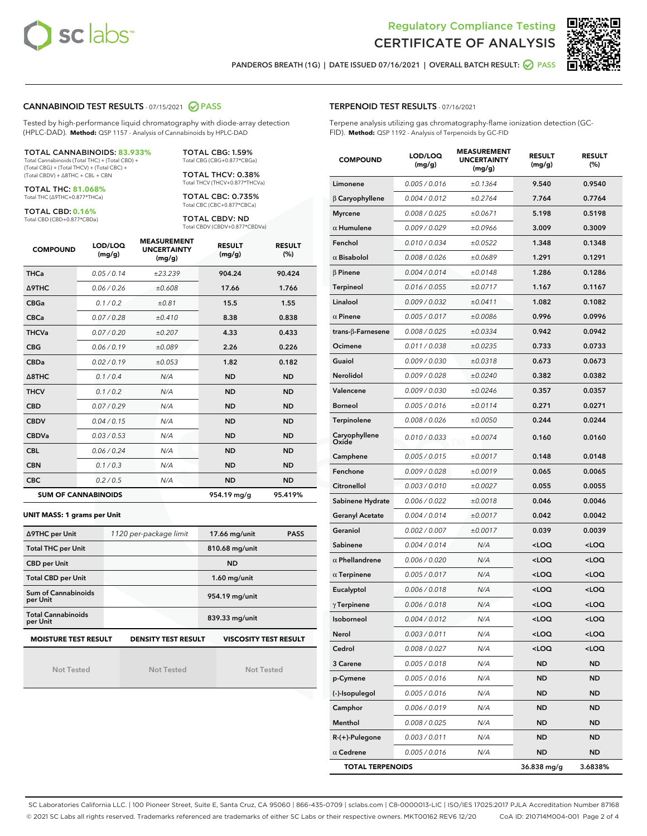



PANDEROS BREATH (1G) | DATE ISSUED 07/16/2021 | OVERALL BATCH RESULT: @ PASS

# CANNABINOID TEST RESULTS - 07/15/2021 2 PASS

Tested by high-performance liquid chromatography with diode-array detection (HPLC-DAD). **Method:** QSP 1157 - Analysis of Cannabinoids by HPLC-DAD

# TOTAL CANNABINOIDS: **83.933%**

Total Cannabinoids (Total THC) + (Total CBD) + (Total CBG) + (Total THCV) + (Total CBC) + (Total CBDV) + ∆8THC + CBL + CBN

TOTAL THC: **81.068%** Total THC (∆9THC+0.877\*THCa)

TOTAL CBD: **0.16%**

Total CBD (CBD+0.877\*CBDa)

TOTAL CBG: 1.59% Total CBG (CBG+0.877\*CBGa)

TOTAL THCV: 0.38% Total THCV (THCV+0.877\*THCVa)

TOTAL CBC: 0.735% Total CBC (CBC+0.877\*CBCa)

TOTAL CBDV: ND Total CBDV (CBDV+0.877\*CBDVa)

| <b>COMPOUND</b> | LOD/LOQ<br>(mg/g)          | <b>MEASUREMENT</b><br><b>UNCERTAINTY</b><br>(mg/g) | <b>RESULT</b><br>(mg/g) | <b>RESULT</b><br>(%) |
|-----------------|----------------------------|----------------------------------------------------|-------------------------|----------------------|
| <b>THCa</b>     | 0.05 / 0.14                | ±23.239                                            | 904.24                  | 90.424               |
| <b>A9THC</b>    | 0.06 / 0.26                | ±0.608                                             | 17.66                   | 1.766                |
| <b>CBGa</b>     | 0.1 / 0.2                  | ±0.81                                              | 15.5                    | 1.55                 |
| <b>CBCa</b>     | 0.07/0.28                  | ±0.410                                             | 8.38                    | 0.838                |
| <b>THCVa</b>    | 0.07/0.20                  | ±0.207                                             | 4.33                    | 0.433                |
| <b>CBG</b>      | 0.06/0.19                  | ±0.089                                             | 2.26                    | 0.226                |
| <b>CBDa</b>     | 0.02 / 0.19                | ±0.053                                             | 1.82                    | 0.182                |
| A8THC           | 0.1/0.4                    | N/A                                                | <b>ND</b>               | <b>ND</b>            |
| <b>THCV</b>     | 0.1 / 0.2                  | N/A                                                | <b>ND</b>               | <b>ND</b>            |
| <b>CBD</b>      | 0.07/0.29                  | N/A                                                | <b>ND</b>               | <b>ND</b>            |
| <b>CBDV</b>     | 0.04 / 0.15                | N/A                                                | <b>ND</b>               | <b>ND</b>            |
| <b>CBDVa</b>    | 0.03/0.53                  | N/A                                                | <b>ND</b>               | <b>ND</b>            |
| <b>CBL</b>      | 0.06 / 0.24                | N/A                                                | <b>ND</b>               | <b>ND</b>            |
| <b>CBN</b>      | 0.1/0.3                    | N/A                                                | <b>ND</b>               | <b>ND</b>            |
| <b>CBC</b>      | 0.2 / 0.5                  | N/A                                                | <b>ND</b>               | <b>ND</b>            |
|                 | <b>SUM OF CANNABINOIDS</b> |                                                    | 954.19 mg/g             | 95.419%              |

#### **UNIT MASS: 1 grams per Unit**

| ∆9THC per Unit                        | 1120 per-package limit     | 17.66 mg/unit<br><b>PASS</b> |  |
|---------------------------------------|----------------------------|------------------------------|--|
| <b>Total THC per Unit</b>             |                            | 810.68 mg/unit               |  |
| <b>CBD per Unit</b>                   |                            | <b>ND</b>                    |  |
| <b>Total CBD per Unit</b>             |                            | $1.60$ mg/unit               |  |
| Sum of Cannabinoids<br>per Unit       |                            | 954.19 mg/unit               |  |
| <b>Total Cannabinoids</b><br>per Unit |                            | 839.33 mg/unit               |  |
| <b>MOISTURE TEST RESULT</b>           | <b>DENSITY TEST RESULT</b> | <b>VISCOSITY TEST RESULT</b> |  |

Not Tested

Not Tested

Not Tested

# TERPENOID TEST RESULTS - 07/16/2021

Terpene analysis utilizing gas chromatography-flame ionization detection (GC-FID). **Method:** QSP 1192 - Analysis of Terpenoids by GC-FID

| <b>COMPOUND</b>         | LOD/LOQ<br>(mg/g) | <b>MEASUREMENT</b><br><b>UNCERTAINTY</b><br>(mg/g) | <b>RESULT</b><br>(mg/g)                         | <b>RESULT</b><br>$(\%)$ |
|-------------------------|-------------------|----------------------------------------------------|-------------------------------------------------|-------------------------|
| Limonene                | 0.005 / 0.016     | ±0.1364                                            | 9.540                                           | 0.9540                  |
| $\beta$ Caryophyllene   | 0.004 / 0.012     | ±0.2764                                            | 7.764                                           | 0.7764                  |
| <b>Myrcene</b>          | 0.008 / 0.025     | ±0.0671                                            | 5.198                                           | 0.5198                  |
| $\alpha$ Humulene       | 0.009 / 0.029     | ±0.0966                                            | 3.009                                           | 0.3009                  |
| Fenchol                 | 0.010 / 0.034     | ±0.0522                                            | 1.348                                           | 0.1348                  |
| $\alpha$ Bisabolol      | 0.008 / 0.026     | ±0.0689                                            | 1.291                                           | 0.1291                  |
| <b>B</b> Pinene         | 0.004 / 0.014     | ±0.0148                                            | 1.286                                           | 0.1286                  |
| Terpineol               | 0.016 / 0.055     | ±0.0717                                            | 1.167                                           | 0.1167                  |
| Linalool                | 0.009 / 0.032     | ±0.0411                                            | 1.082                                           | 0.1082                  |
| $\alpha$ Pinene         | 0.005 / 0.017     | ±0.0086                                            | 0.996                                           | 0.0996                  |
| trans-β-Farnesene       | 0.008 / 0.025     | ±0.0334                                            | 0.942                                           | 0.0942                  |
| Ocimene                 | 0.011 / 0.038     | ±0.0235                                            | 0.733                                           | 0.0733                  |
| Guaiol                  | 0.009 / 0.030     | ±0.0318                                            | 0.673                                           | 0.0673                  |
| Nerolidol               | 0.009 / 0.028     | ±0.0240                                            | 0.382                                           | 0.0382                  |
| Valencene               | 0.009 / 0.030     | ±0.0246                                            | 0.357                                           | 0.0357                  |
| <b>Borneol</b>          | 0.005 / 0.016     | ±0.0114                                            | 0.271                                           | 0.0271                  |
| Terpinolene             | 0.008 / 0.026     | ±0.0050                                            | 0.244                                           | 0.0244                  |
| Caryophyllene<br>Oxide  | 0.010 / 0.033     | ±0.0074                                            | 0.160                                           | 0.0160                  |
| Camphene                | 0.005 / 0.015     | ±0.0017                                            | 0.148                                           | 0.0148                  |
| Fenchone                | 0.009 / 0.028     | ±0.0019                                            | 0.065                                           | 0.0065                  |
| Citronellol             | 0.003 / 0.010     | ±0.0027                                            | 0.055                                           | 0.0055                  |
| Sabinene Hydrate        | 0.006 / 0.022     | ±0.0018                                            | 0.046                                           | 0.0046                  |
| <b>Geranyl Acetate</b>  | 0.004 / 0.014     | ±0.0017                                            | 0.042                                           | 0.0042                  |
| Geraniol                | 0.002 / 0.007     | ±0.0017                                            | 0.039                                           | 0.0039                  |
| Sabinene                | 0.004 / 0.014     | N/A                                                | <loq< th=""><th><loq< th=""></loq<></th></loq<> | <loq< th=""></loq<>     |
| $\alpha$ Phellandrene   | 0.006 / 0.020     | N/A                                                | <loq< th=""><th><loq< th=""></loq<></th></loq<> | <loq< th=""></loq<>     |
| $\alpha$ Terpinene      | 0.005 / 0.017     | N/A                                                | <loq< th=""><th><loq< th=""></loq<></th></loq<> | <loq< th=""></loq<>     |
| Eucalyptol              | 0.006 / 0.018     | N/A                                                | <loq< th=""><th><loq< th=""></loq<></th></loq<> | <loq< th=""></loq<>     |
| $\gamma$ Terpinene      | 0.006 / 0.018     | N/A                                                | <loq< th=""><th><loq< th=""></loq<></th></loq<> | <loq< th=""></loq<>     |
| Isoborneol              | 0.004 / 0.012     | N/A                                                | $<$ l OO                                        | $\sim$ 0.0              |
| Nerol                   | 0.003 / 0.011     | N/A                                                | <loq< th=""><th><loq< th=""></loq<></th></loq<> | <loq< th=""></loq<>     |
| Cedrol                  | 0.008 / 0.027     | N/A                                                | <loq< th=""><th><loq< th=""></loq<></th></loq<> | <loq< th=""></loq<>     |
| 3 Carene                | 0.005 / 0.018     | N/A                                                | ND                                              | ND                      |
| p-Cymene                | 0.005 / 0.016     | N/A                                                | ND                                              | ND                      |
| (-)-Isopulegol          | 0.005 / 0.016     | N/A                                                | ND                                              | ND                      |
| Camphor                 | 0.006 / 0.019     | N/A                                                | ND                                              | ND                      |
| Menthol                 | 0.008 / 0.025     | N/A                                                | ND                                              | ND                      |
| R-(+)-Pulegone          | 0.003 / 0.011     | N/A                                                | ND                                              | ND                      |
| $\alpha$ Cedrene        | 0.005 / 0.016     | N/A                                                | ND                                              | <b>ND</b>               |
| <b>TOTAL TERPENOIDS</b> |                   |                                                    | 36.838 mg/g                                     | 3.6838%                 |

SC Laboratories California LLC. | 100 Pioneer Street, Suite E, Santa Cruz, CA 95060 | 866-435-0709 | sclabs.com | C8-0000013-LIC | ISO/IES 17025:2017 PJLA Accreditation Number 87168 © 2021 SC Labs all rights reserved. Trademarks referenced are trademarks of either SC Labs or their respective owners. MKT00162 REV6 12/20 CoA ID: 210714M004-001 Page 2 of 4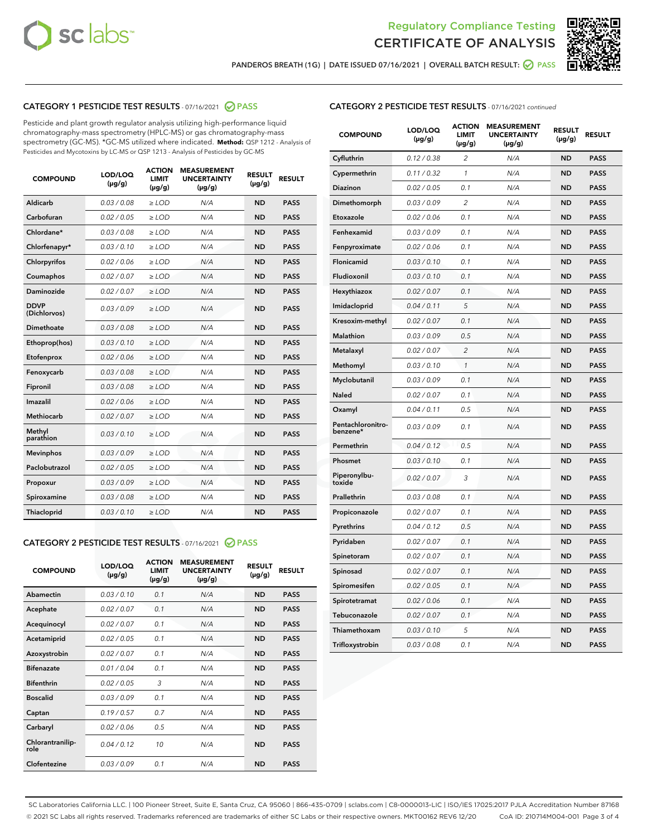



PANDEROS BREATH (1G) | DATE ISSUED 07/16/2021 | OVERALL BATCH RESULT: @ PASS

# CATEGORY 1 PESTICIDE TEST RESULTS - 07/16/2021 @ PASS

Pesticide and plant growth regulator analysis utilizing high-performance liquid chromatography-mass spectrometry (HPLC-MS) or gas chromatography-mass spectrometry (GC-MS). \*GC-MS utilized where indicated. **Method:** QSP 1212 - Analysis of Pesticides and Mycotoxins by LC-MS or QSP 1213 - Analysis of Pesticides by GC-MS

| <b>COMPOUND</b>             | LOD/LOQ<br>$(\mu g/g)$ | <b>ACTION</b><br>LIMIT<br>$(\mu g/g)$ | <b>MEASUREMENT</b><br><b>UNCERTAINTY</b><br>$(\mu g/g)$ | <b>RESULT</b><br>$(\mu g/g)$ | <b>RESULT</b> |
|-----------------------------|------------------------|---------------------------------------|---------------------------------------------------------|------------------------------|---------------|
| Aldicarb                    | 0.03 / 0.08            | $\geq$ LOD                            | N/A                                                     | <b>ND</b>                    | <b>PASS</b>   |
| Carbofuran                  | 0.02 / 0.05            | $>$ LOD                               | N/A                                                     | <b>ND</b>                    | <b>PASS</b>   |
| Chlordane*                  | 0.03 / 0.08            | ≥ LOD                                 | N/A                                                     | <b>ND</b>                    | <b>PASS</b>   |
| Chlorfenapyr*               | 0.03/0.10              | ≥ LOD                                 | N/A                                                     | <b>ND</b>                    | <b>PASS</b>   |
| Chlorpyrifos                | 0.02 / 0.06            | $\geq$ LOD                            | N/A                                                     | <b>ND</b>                    | <b>PASS</b>   |
| Coumaphos                   | 0.02 / 0.07            | ≥ LOD                                 | N/A                                                     | <b>ND</b>                    | <b>PASS</b>   |
| Daminozide                  | 0.02 / 0.07            | $\geq$ LOD                            | N/A                                                     | <b>ND</b>                    | <b>PASS</b>   |
| <b>DDVP</b><br>(Dichlorvos) | 0.03/0.09              | $\geq$ LOD                            | N/A                                                     | <b>ND</b>                    | <b>PASS</b>   |
| Dimethoate                  | 0.03 / 0.08            | $\ge$ LOD                             | N/A                                                     | <b>ND</b>                    | <b>PASS</b>   |
| Ethoprop(hos)               | 0.03/0.10              | $>$ LOD                               | N/A                                                     | <b>ND</b>                    | <b>PASS</b>   |
| Etofenprox                  | 0.02 / 0.06            | $>$ LOD                               | N/A                                                     | <b>ND</b>                    | <b>PASS</b>   |
| Fenoxycarb                  | 0.03/0.08              | $\geq$ LOD                            | N/A                                                     | <b>ND</b>                    | <b>PASS</b>   |
| Fipronil                    | 0.03/0.08              | $\geq$ LOD                            | N/A                                                     | <b>ND</b>                    | <b>PASS</b>   |
| Imazalil                    | 0.02 / 0.06            | $\geq$ LOD                            | N/A                                                     | <b>ND</b>                    | <b>PASS</b>   |
| <b>Methiocarb</b>           | 0.02 / 0.07            | ≥ LOD                                 | N/A                                                     | <b>ND</b>                    | <b>PASS</b>   |
| Methyl<br>parathion         | 0.03/0.10              | $\geq$ LOD                            | N/A                                                     | <b>ND</b>                    | <b>PASS</b>   |
| <b>Mevinphos</b>            | 0.03/0.09              | $\geq$ LOD                            | N/A                                                     | <b>ND</b>                    | <b>PASS</b>   |
| Paclobutrazol               | 0.02 / 0.05            | $\geq$ LOD                            | N/A                                                     | <b>ND</b>                    | <b>PASS</b>   |
| Propoxur                    | 0.03/0.09              | ≥ LOD                                 | N/A                                                     | <b>ND</b>                    | <b>PASS</b>   |
| Spiroxamine                 | 0.03 / 0.08            | $\ge$ LOD                             | N/A                                                     | <b>ND</b>                    | <b>PASS</b>   |
| <b>Thiacloprid</b>          | 0.03/0.10              | $\geq$ LOD                            | N/A                                                     | <b>ND</b>                    | <b>PASS</b>   |
|                             |                        |                                       |                                                         |                              |               |

# CATEGORY 2 PESTICIDE TEST RESULTS - 07/16/2021 @ PASS

| <b>COMPOUND</b>          | LOD/LOQ<br>$(\mu g/g)$ | <b>ACTION</b><br>LIMIT<br>$(\mu g/g)$ | <b>MEASUREMENT</b><br><b>UNCERTAINTY</b><br>$(\mu g/g)$ | <b>RESULT</b><br>$(\mu g/g)$ | <b>RESULT</b> |
|--------------------------|------------------------|---------------------------------------|---------------------------------------------------------|------------------------------|---------------|
| Abamectin                | 0.03/0.10              | 0.1                                   | N/A                                                     | <b>ND</b>                    | <b>PASS</b>   |
| Acephate                 | 0.02/0.07              | 0.1                                   | N/A                                                     | <b>ND</b>                    | <b>PASS</b>   |
| Acequinocyl              | 0.02/0.07              | 0.1                                   | N/A                                                     | <b>ND</b>                    | <b>PASS</b>   |
| Acetamiprid              | 0.02 / 0.05            | 0.1                                   | N/A                                                     | <b>ND</b>                    | <b>PASS</b>   |
| Azoxystrobin             | 0.02/0.07              | 0.1                                   | N/A                                                     | <b>ND</b>                    | <b>PASS</b>   |
| <b>Bifenazate</b>        | 0.01/0.04              | 0.1                                   | N/A                                                     | <b>ND</b>                    | <b>PASS</b>   |
| <b>Bifenthrin</b>        | 0.02 / 0.05            | 3                                     | N/A                                                     | <b>ND</b>                    | <b>PASS</b>   |
| <b>Boscalid</b>          | 0.03/0.09              | 0.1                                   | N/A                                                     | <b>ND</b>                    | <b>PASS</b>   |
| Captan                   | 0.19/0.57              | 0.7                                   | N/A                                                     | <b>ND</b>                    | <b>PASS</b>   |
| Carbaryl                 | 0.02/0.06              | 0.5                                   | N/A                                                     | <b>ND</b>                    | <b>PASS</b>   |
| Chlorantranilip-<br>role | 0.04/0.12              | 10                                    | N/A                                                     | <b>ND</b>                    | <b>PASS</b>   |
| Clofentezine             | 0.03/0.09              | 0.1                                   | N/A                                                     | <b>ND</b>                    | <b>PASS</b>   |

| <b>COMPOUND</b>               | LOD/LOQ<br>(µg/g) | <b>ACTION</b><br><b>LIMIT</b><br>(µg/g) | <b>MEASUREMENT</b><br><b>UNCERTAINTY</b><br>$(\mu g/g)$ | <b>RESULT</b><br>(µg/g) | <b>RESULT</b> |
|-------------------------------|-------------------|-----------------------------------------|---------------------------------------------------------|-------------------------|---------------|
| Cyfluthrin                    | 0.12 / 0.38       | $\overline{c}$                          | N/A                                                     | ND                      | <b>PASS</b>   |
| Cypermethrin                  | 0.11/0.32         | 1                                       | N/A                                                     | <b>ND</b>               | PASS          |
| <b>Diazinon</b>               | 0.02 / 0.05       | 0.1                                     | N/A                                                     | <b>ND</b>               | <b>PASS</b>   |
| Dimethomorph                  | 0.03 / 0.09       | 2                                       | N/A                                                     | ND                      | <b>PASS</b>   |
| Etoxazole                     | 0.02 / 0.06       | 0.1                                     | N/A                                                     | ND                      | <b>PASS</b>   |
| Fenhexamid                    | 0.03 / 0.09       | 0.1                                     | N/A                                                     | ND                      | <b>PASS</b>   |
| Fenpyroximate                 | 0.02 / 0.06       | 0.1                                     | N/A                                                     | <b>ND</b>               | <b>PASS</b>   |
| Flonicamid                    | 0.03 / 0.10       | 0.1                                     | N/A                                                     | <b>ND</b>               | <b>PASS</b>   |
| Fludioxonil                   | 0.03/0.10         | 0.1                                     | N/A                                                     | <b>ND</b>               | <b>PASS</b>   |
| Hexythiazox                   | 0.02 / 0.07       | 0.1                                     | N/A                                                     | <b>ND</b>               | <b>PASS</b>   |
| Imidacloprid                  | 0.04 / 0.11       | 5                                       | N/A                                                     | <b>ND</b>               | <b>PASS</b>   |
| Kresoxim-methyl               | 0.02 / 0.07       | 0.1                                     | N/A                                                     | <b>ND</b>               | <b>PASS</b>   |
| <b>Malathion</b>              | 0.03 / 0.09       | 0.5                                     | N/A                                                     | <b>ND</b>               | <b>PASS</b>   |
| Metalaxyl                     | 0.02 / 0.07       | $\overline{c}$                          | N/A                                                     | <b>ND</b>               | <b>PASS</b>   |
| Methomyl                      | 0.03 / 0.10       | $\mathcal{I}$                           | N/A                                                     | ND                      | <b>PASS</b>   |
| Myclobutanil                  | 0.03/0.09         | 0.1                                     | N/A                                                     | <b>ND</b>               | <b>PASS</b>   |
| <b>Naled</b>                  | 0.02 / 0.07       | 0.1                                     | N/A                                                     | <b>ND</b>               | <b>PASS</b>   |
| Oxamyl                        | 0.04 / 0.11       | 0.5                                     | N/A                                                     | ND                      | <b>PASS</b>   |
| Pentachloronitro-<br>benzene* | 0.03/0.09         | 0.1                                     | N/A                                                     | <b>ND</b>               | <b>PASS</b>   |
| Permethrin                    | 0.04 / 0.12       | 0.5                                     | N/A                                                     | ND                      | <b>PASS</b>   |
| Phosmet                       | 0.03 / 0.10       | 0.1                                     | N/A                                                     | <b>ND</b>               | <b>PASS</b>   |
| Piperonylbu-<br>toxide        | 0.02 / 0.07       | 3                                       | N/A                                                     | <b>ND</b>               | <b>PASS</b>   |
| Prallethrin                   | 0.03 / 0.08       | 0.1                                     | N/A                                                     | <b>ND</b>               | <b>PASS</b>   |
| Propiconazole                 | 0.02 / 0.07       | 0.1                                     | N/A                                                     | <b>ND</b>               | <b>PASS</b>   |
| Pyrethrins                    | 0.04 / 0.12       | 0.5                                     | N/A                                                     | <b>ND</b>               | <b>PASS</b>   |
| Pyridaben                     | 0.02 / 0.07       | 0.1                                     | N/A                                                     | ND                      | <b>PASS</b>   |
| Spinetoram                    | 0.02 / 0.07       | 0.1                                     | N/A                                                     | ND                      | <b>PASS</b>   |
| Spinosad                      | 0.02 / 0.07       | 0.1                                     | N/A                                                     | <b>ND</b>               | <b>PASS</b>   |
| Spiromesifen                  | 0.02 / 0.05       | 0.1                                     | N/A                                                     | ND                      | PASS          |
| Spirotetramat                 | 0.02 / 0.06       | 0.1                                     | N/A                                                     | ND                      | PASS          |
| Tebuconazole                  | 0.02 / 0.07       | 0.1                                     | N/A                                                     | <b>ND</b>               | <b>PASS</b>   |
| Thiamethoxam                  | 0.03 / 0.10       | 5                                       | N/A                                                     | ND                      | <b>PASS</b>   |
| Trifloxystrobin               | 0.03 / 0.08       | 0.1                                     | N/A                                                     | <b>ND</b>               | <b>PASS</b>   |

SC Laboratories California LLC. | 100 Pioneer Street, Suite E, Santa Cruz, CA 95060 | 866-435-0709 | sclabs.com | C8-0000013-LIC | ISO/IES 17025:2017 PJLA Accreditation Number 87168 © 2021 SC Labs all rights reserved. Trademarks referenced are trademarks of either SC Labs or their respective owners. MKT00162 REV6 12/20 CoA ID: 210714M004-001 Page 3 of 4